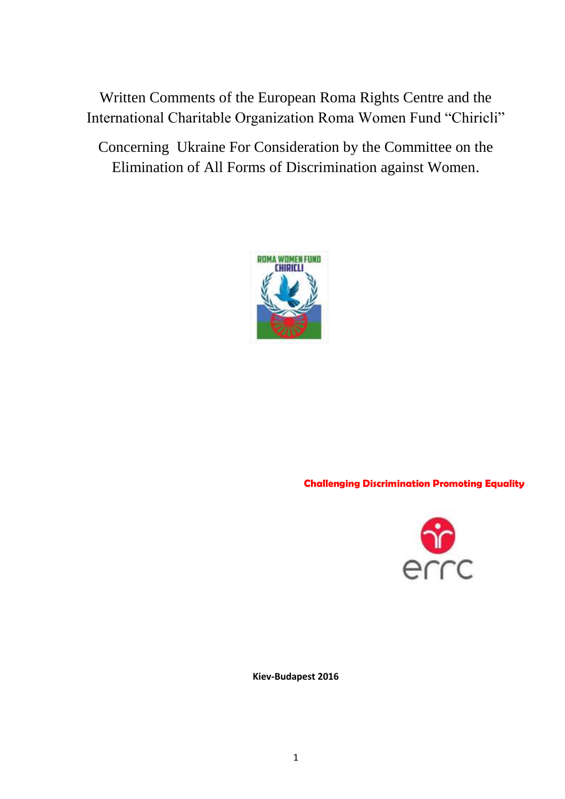Written Comments of the European Roma Rights Centre and the International Charitable Organization Roma Women Fund "Chiricli"

Concerning Ukraine For Consideration by the Committee on the Elimination of All Forms of Discrimination against Women.



**Challenging Discrimination Promoting Equality**



**Kiev-Budapest 2016**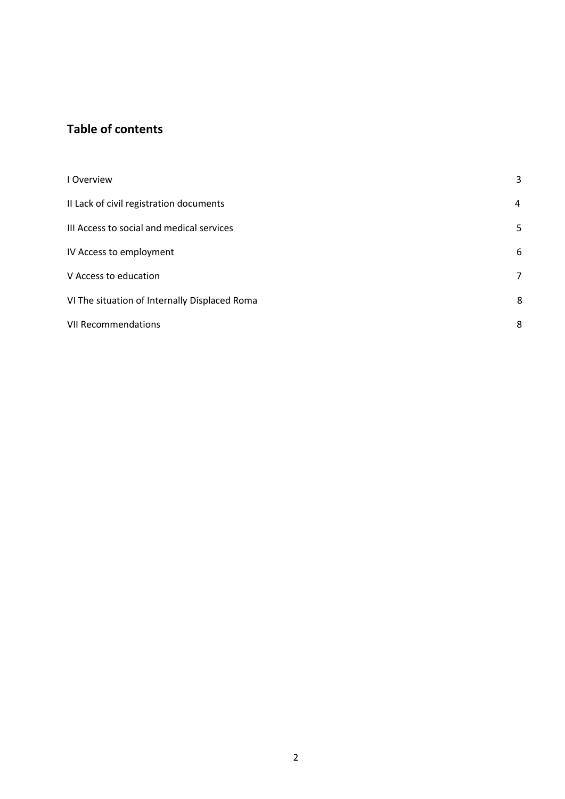# **Table of contents**

| I Overview                                    | 3 |
|-----------------------------------------------|---|
| II Lack of civil registration documents       | 4 |
| III Access to social and medical services     | 5 |
| IV Access to employment                       | 6 |
| V Access to education                         | 7 |
| VI The situation of Internally Displaced Roma | 8 |
| <b>VII Recommendations</b>                    | 8 |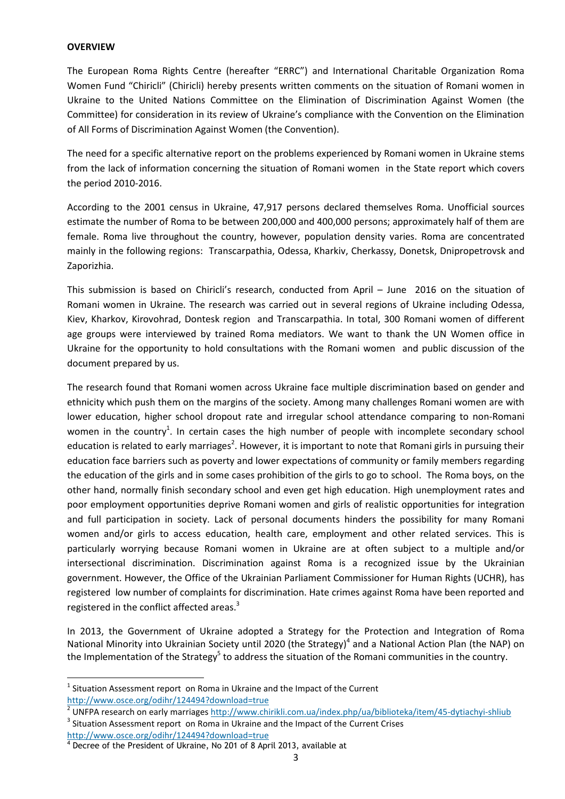#### **OVERVIEW**

**.** 

The European Roma Rights Centre (hereafter "ERRC") and International Charitable Organization Roma Women Fund "Chiricli" (Chiricli) hereby presents written comments on the situation of Romani women in Ukraine to the United Nations Committee on the Elimination of Discrimination Against Women (the Committee) for consideration in its review of Ukraine's compliance with the Convention on the Elimination of All Forms of Discrimination Against Women (the Convention).

The need for a specific alternative report on the problems experienced by Romani women in Ukraine stems from the lack of information concerning the situation of Romani women in the State report which covers the period 2010-2016.

According to the 2001 census in Ukraine, 47,917 persons declared themselves Roma. Unofficial sources estimate the number of Roma to be between 200,000 and 400,000 persons; approximately half of them are female. Roma live throughout the country, however, population density varies. Roma are concentrated mainly in the following regions: Transcarpathia, Odessa, Kharkiv, Cherkassy, Donetsk, Dnipropetrovsk and Zaporizhia.

This submission is based on Chiricli's research, conducted from April – June 2016 on the situation of Romani women in Ukraine. The research was carried out in several regions of Ukraine including Odessa, Kiev, Kharkov, Kirovohrad, Dontesk region and Transcarpathia. In total, 300 Romani women of different age groups were interviewed by trained Roma mediators. We want to thank the UN Women office in Ukraine for the opportunity to hold consultations with the Romani women and public discussion of the document prepared by us.

The research found that Romani women across Ukraine face multiple discrimination based on gender and ethnicity which push them on the margins of the society. Among many challenges Romani women are with lower education, higher school dropout rate and irregular school attendance comparing to non-Romani women in the country<sup>1</sup>. In certain cases the high number of people with incomplete secondary school education is related to early marriages<sup>2</sup>. However, it is important to note that Romani girls in pursuing their education face barriers such as poverty and lower expectations of community or family members regarding the education of the girls and in some cases prohibition of the girls to go to school. The Roma boys, on the other hand, normally finish secondary school and even get high education. High unemployment rates and poor employment opportunities deprive Romani women and girls of realistic opportunities for integration and full participation in society. Lack of personal documents hinders the possibility for many Romani women and/or girls to access education, health care, employment and other related services. This is particularly worrying because Romani women in Ukraine are at often subject to a multiple and/or intersectional discrimination. Discrimination against Roma is a recognized issue by the Ukrainian government. However, the Office of the Ukrainian Parliament Commissioner for Human Rights (UCHR), has registered low number of complaints for discrimination. Hate crimes against Roma have been reported and registered in the conflict affected areas.<sup>3</sup>

In 2013, the Government of Ukraine adopted a Strategy for the Protection and Integration of Roma National Minority into Ukrainian Society until 2020 (the Strategy)<sup>4</sup> and a National Action Plan (the NAP) on the Implementation of the Strategy<sup>5</sup> to address the situation of the Romani communities in the country.

 $3$  Situation Assessment report on Roma in Ukraine and the Impact of the Current Crises <http://www.osce.org/odihr/124494?download=true>

 $<sup>1</sup>$  Situation Assessment report on Roma in Ukraine and the Impact of the Current</sup> <http://www.osce.org/odihr/124494?download=true>

<sup>&</sup>lt;sup>2</sup> UNFPA research on early marriages <u>http://www.chirikli.com.ua/index.php/ua/biblioteka/item/45-dytiachyi-shliub</u>

<sup>&</sup>lt;sup>4</sup> Decree of the President of Ukraine, No 201 of 8 April 2013, available at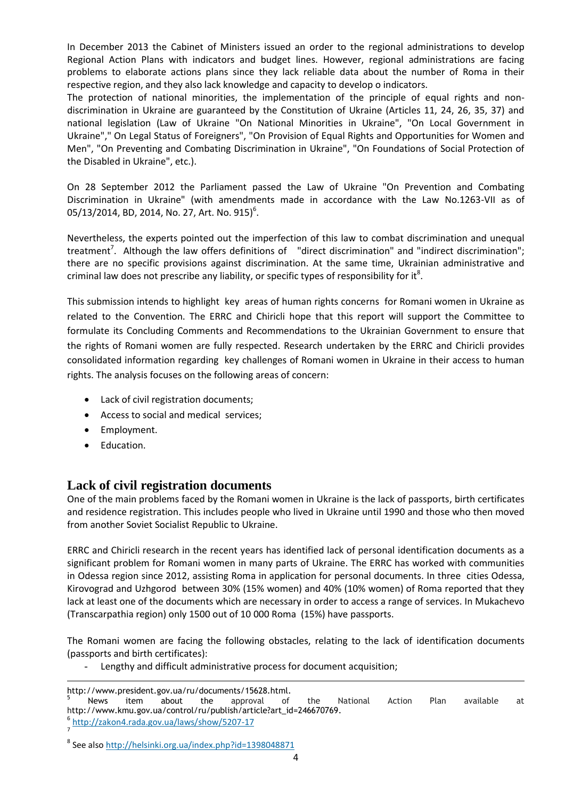In December 2013 the Cabinet of Ministers issued an order to the regional administrations to develop Regional Action Plans with indicators and budget lines. However, regional administrations are facing problems to elaborate actions plans since they lack reliable data about the number of Roma in their respective region, and they also lack knowledge and capacity to develop o indicators.

The protection of national minorities, the implementation of the principle of equal rights and nondiscrimination in Ukraine are guaranteed by the Constitution of Ukraine (Articles 11, 24, 26, 35, 37) and national legislation (Law of Ukraine "On National Minorities in Ukraine", "On Local Government in Ukraine"," On Legal Status of Foreigners", "On Provision of Equal Rights and Opportunities for Women and Men", "On Preventing and Combating Discrimination in Ukraine", "On Foundations of Social Protection of the Disabled in Ukraine", etc.).

On 28 September 2012 the Parliament passed the Law of Ukraine "On Prevention and Combating Discrimination in Ukraine" (with amendments made in accordance with the Law No.1263-VII as of 05/13/2014, BD, 2014, No. 27, Art. No. 915) $^6$ .

Nevertheless, the experts pointed out the imperfection of this law to combat discrimination and unequal treatment<sup>7</sup>. Although the law offers definitions of "direct discrimination" and "indirect discrimination"; there are no specific provisions against discrimination. At the same time, Ukrainian administrative and criminal law does not prescribe any liability, or specific types of responsibility for it<sup>8</sup>.

This submission intends to highlight key areas of human rights concerns for Romani women in Ukraine as related to the Convention. The ERRC and Chiricli hope that this report will support the Committee to formulate its Concluding Comments and Recommendations to the Ukrainian Government to ensure that the rights of Romani women are fully respected. Research undertaken by the ERRC and Chiricli provides consolidated information regarding key challenges of Romani women in Ukraine in their access to human rights. The analysis focuses on the following areas of concern:

- Lack of civil registration documents;
- Access to social and medical services;
- Employment.
- Education.

## **Lack of civil registration documents**

One of the main problems faced by the Romani women in Ukraine is the lack of passports, birth certificates and residence registration. This includes people who lived in Ukraine until 1990 and those who then moved from another Soviet Socialist Republic to Ukraine.

ERRC and Chiricli research in the recent years has identified lack of personal identification documents as a significant problem for Romani women in many parts of Ukraine. The ERRC has worked with communities in Odessa region since 2012, assisting Roma in application for personal documents. In three cities Odessa, Kirovograd and Uzhgorod between 30% (15% women) and 40% (10% women) of Roma reported that they lack at least one of the documents which are necessary in order to access a range of services. In Mukachevo (Transcarpathia region) only 1500 out of 10 000 Roma (15%) have passports.

The Romani women are facing the following obstacles, relating to the lack of identification documents (passports and birth certificates):

- Lengthy and difficult administrative process for document acquisition;

<sup>1</sup> http://www.president.gov.ua/ru/documents/15628.html.<br>
S News item about the approval of

<sup>&</sup>lt;sup>5</sup> News item about the approval of the National Action Plan available at http://www.kmu.gov.ua/control/ru/publish/article?art\_id=246670769. 6

<http://zakon4.rada.gov.ua/laws/show/5207-17> 7

<sup>&</sup>lt;sup>8</sup> See als[o http://helsinki.org.ua/index.php?id=1398048871](http://helsinki.org.ua/index.php?id=1398048871)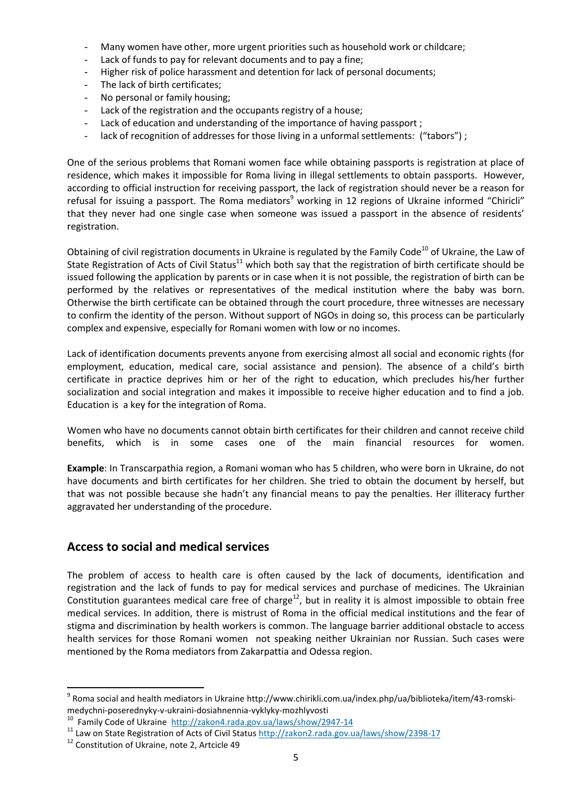- Many women have other, more urgent priorities such as household work or childcare;
- Lack of funds to pay for relevant documents and to pay a fine;
- Higher risk of police harassment and detention for lack of personal documents;
- The lack of birth certificates;
- No personal or family housing;
- Lack of the registration and the occupants registry of a house;
- Lack of education and understanding of the importance of having passport;
- lack of recognition of addresses for those living in a unformal settlements: ("tabors") ;

One of the serious problems that Romani women face while obtaining passports is registration at place of residence, which makes it impossible for Roma living in illegal settlements to obtain passports. However, according to official instruction for receiving passport, the lack of registration should never be a reason for refusal for issuing a passport. The Roma mediators<sup>9</sup> working in 12 regions of Ukraine informed "Chiricli" that they never had one single case when someone was issued a passport in the absence of residents' registration.

Obtaining of civil registration documents in Ukraine is regulated by the Family Code<sup>10</sup> of Ukraine, the Law of State Registration of Acts of Civil Status<sup>11</sup> which both say that the registration of birth certificate should be issued following the application by parents or in case when it is not possible, the registration of birth can be performed by the relatives or representatives of the medical institution where the baby was born. Otherwise the birth certificate can be obtained through the court procedure, three witnesses are necessary to confirm the identity of the person. Without support of NGOs in doing so, this process can be particularly complex and expensive, especially for Romani women with low or no incomes.

Lack of identification documents prevents anyone from exercising almost all social and economic rights (for employment, education, medical care, social assistance and pension). The absence of a child's birth certificate in practice deprives him or her of the right to education, which precludes his/her further socialization and social integration and makes it impossible to receive higher education and to find a job. Education is a key for the integration of Roma.

Women who have no documents cannot obtain birth certificates for their children and cannot receive child benefits, which is in some cases one of the main financial resources for women.

**Example**: In Transcarpathia region, a Romani woman who has 5 children, who were born in Ukraine, do not have documents and birth certificates for her children. She tried to obtain the document by herself, but that was not possible because she hadn't any financial means to pay the penalties. Her illiteracy further aggravated her understanding of the procedure.

### **Access to social and medical services**

The problem of access to health care is often caused by the lack of documents, identification and registration and the lack of funds to pay for medical services and purchase of medicines. The Ukrainian Constitution guarantees medical care free of charge<sup>12</sup>, but in reality it is almost impossible to obtain free medical services. In addition, there is mistrust of Roma in the official medical institutions and the fear of stigma and discrimination by health workers is common. The language barrier additional obstacle to access health services for those Romani women not speaking neither Ukrainian nor Russian. Such cases were mentioned by the Roma mediators from Zakarpattia and Odessa region.

**<sup>.</sup>**  $^9$  Roma social and health mediators in Ukraine http://www.chirikli.com.ua/index.php/ua/biblioteka/item/43-romskimedychni-poserednyky-v-ukraini-dosiahnennia-vyklyky-mozhlyvosti

<sup>&</sup>lt;sup>10</sup> Family Code of Ukraine<http://zakon4.rada.gov.ua/laws/show/2947-14>

<sup>&</sup>lt;sup>11</sup> Law on State Registration of Acts of Civil Status<http://zakon2.rada.gov.ua/laws/show/2398-17>

<sup>&</sup>lt;sup>12</sup> Constitution of Ukraine, note 2, Artcicle 49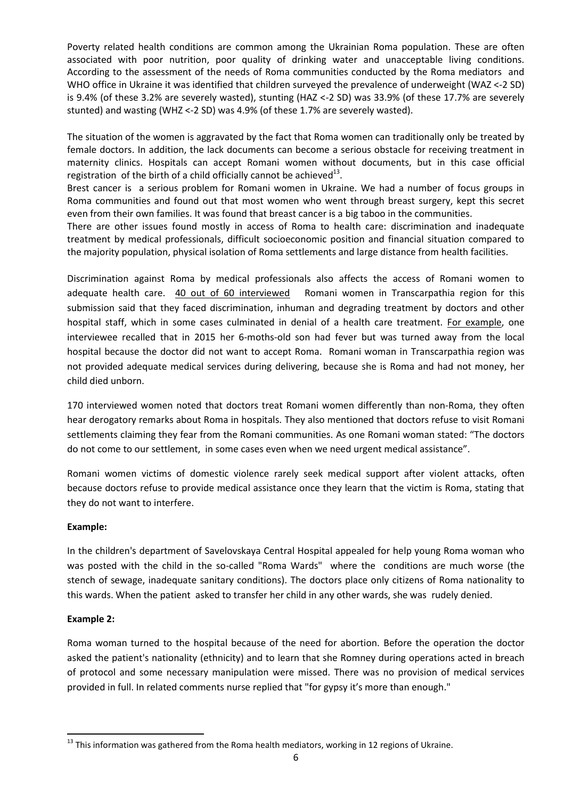Poverty related health conditions are common among the Ukrainian Roma population. These are often associated with poor nutrition, poor quality of drinking water and unacceptable living conditions. According to the assessment of the needs of Roma communities conducted by the Roma mediators and WHO office in Ukraine it was identified that children surveyed the prevalence of underweight (WAZ <-2 SD) is 9.4% (of these 3.2% are severely wasted), stunting (HAZ <-2 SD) was 33.9% (of these 17.7% are severely stunted) and wasting (WHZ <-2 SD) was 4.9% (of these 1.7% are severely wasted).

The situation of the women is aggravated by the fact that Roma women can traditionally only be treated by female doctors. In addition, the lack documents can become a serious obstacle for receiving treatment in maternity clinics. Hospitals can accept Romani women without documents, but in this case official registration of the birth of a child officially cannot be achieved $^{13}$ .

Brest cancer is a serious problem for Romani women in Ukraine. We had a number of focus groups in Roma communities and found out that most women who went through breast surgery, kept this secret even from their own families. It was found that breast cancer is a big taboo in the communities.

There are other issues found mostly in access of Roma to health care: discrimination and inadequate treatment by medical professionals, difficult socioeconomic position and financial situation compared to the majority population, physical isolation of Roma settlements and large distance from health facilities.

Discrimination against Roma by medical professionals also affects the access of Romani women to adequate health care. 40 out of 60 interviewed Romani women in Transcarpathia region for this submission said that they faced discrimination, inhuman and degrading treatment by doctors and other hospital staff, which in some cases culminated in denial of a health care treatment. For example, one interviewee recalled that in 2015 her 6-moths-old son had fever but was turned away from the local hospital because the doctor did not want to accept Roma. Romani woman in Transcarpathia region was not provided adequate medical services during delivering, because she is Roma and had not money, her child died unborn.

170 interviewed women noted that doctors treat Romani women differently than non-Roma, they often hear derogatory remarks about Roma in hospitals. They also mentioned that doctors refuse to visit Romani settlements claiming they fear from the Romani communities. As one Romani woman stated: "The doctors do not come to our settlement, in some cases even when we need urgent medical assistance".

Romani women victims of domestic violence rarely seek medical support after violent attacks, often because doctors refuse to provide medical assistance once they learn that the victim is Roma, stating that they do not want to interfere.

### **Example:**

In the children's department of Savelovskaya Central Hospital appealed for help young Roma woman who was posted with the child in the so-called "Roma Wards" where the conditions are much worse (the stench of sewage, inadequate sanitary conditions). The doctors place only citizens of Roma nationality to this wards. When the patient asked to transfer her child in any other wards, she was rudely denied.

### **Example 2:**

**.** 

Roma woman turned to the hospital because of the need for abortion. Before the operation the doctor asked the patient's nationality (ethnicity) and to learn that she Romney during operations acted in breach of protocol and some necessary manipulation were missed. There was no provision of medical services provided in full. In related comments nurse replied that "for gypsy it's more than enough."

 $13$  This information was gathered from the Roma health mediators, working in 12 regions of Ukraine.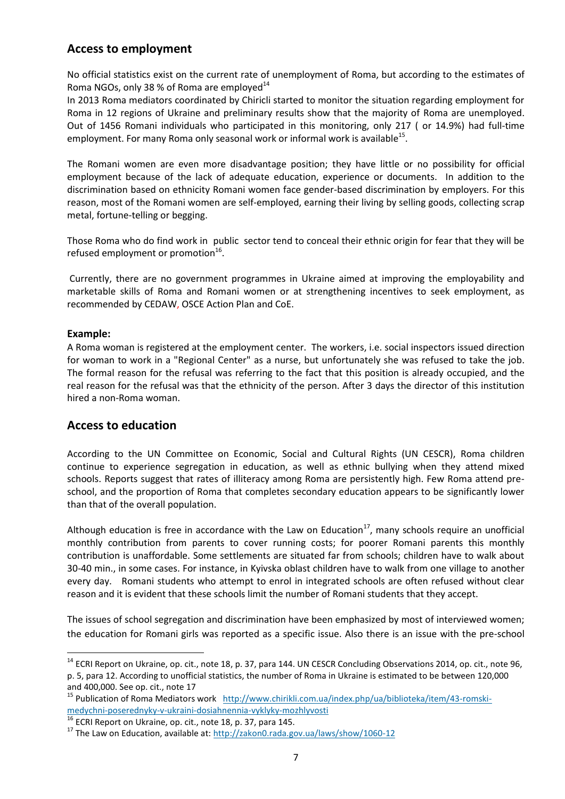# **Access to employment**

No official statistics exist on the current rate of unemployment of Roma, but according to the estimates of Roma NGOs, only 38 % of Roma are employed $14$ 

In 2013 Roma mediators coordinated by Chiricli started to monitor the situation regarding employment for Roma in 12 regions of Ukraine and preliminary results show that the majority of Roma are unemployed. Out of 1456 Romani individuals who participated in this monitoring, only 217 ( or 14.9%) had full-time employment. For many Roma only seasonal work or informal work is available<sup>15</sup>.

The Romani women are even more disadvantage position; they have little or no possibility for official employment because of the lack of adequate education, experience or documents. In addition to the discrimination based on ethnicity Romani women face gender-based discrimination by employers. For this reason, most of the Romani women are self-employed, earning their living by selling goods, collecting scrap metal, fortune-telling or begging.

Those Roma who do find work in public sector tend to conceal their ethnic origin for fear that they will be refused employment or promotion<sup>16</sup>.

Currently, there are no government programmes in Ukraine aimed at improving the employability and marketable skills of Roma and Romani women or at strengthening incentives to seek employment, as recommended by CEDAW, OSCE Action Plan and CoE.

### **Example:**

1

A Roma woman is registered at the employment center. The workers, i.e. social inspectors issued direction for woman to work in a "Regional Center" as a nurse, but unfortunately she was refused to take the job. The formal reason for the refusal was referring to the fact that this position is already occupied, and the real reason for the refusal was that the ethnicity of the person. After 3 days the director of this institution hired a non-Roma woman.

## **Access to education**

According to the UN Committee on Economic, Social and Cultural Rights (UN CESCR), Roma children continue to experience segregation in education, as well as ethnic bullying when they attend mixed schools. Reports suggest that rates of illiteracy among Roma are persistently high. Few Roma attend preschool, and the proportion of Roma that completes secondary education appears to be significantly lower than that of the overall population.

Although education is free in accordance with the Law on Education $^{17}$ , many schools require an unofficial monthly contribution from parents to cover running costs; for poorer Romani parents this monthly contribution is unaffordable. Some settlements are situated far from schools; children have to walk about 30-40 min., in some cases. For instance, in Kyivska oblast children have to walk from one village to another every day. Romani students who attempt to enrol in integrated schools are often refused without clear reason and it is evident that these schools limit the number of Romani students that they accept.

The issues of school segregation and discrimination have been emphasized by most of interviewed women; the education for Romani girls was reported as a specific issue. Also there is an issue with the pre-school

<sup>&</sup>lt;sup>14</sup> ECRI Report on Ukraine, op. cit., note 18, p. 37, para 144. UN CESCR Concluding Observations 2014, op. cit., note 96, p. 5, para 12. According to unofficial statistics, the number of Roma in Ukraine is estimated to be between 120,000 and 400,000. See op. cit., note 17

<sup>&</sup>lt;sup>15</sup> Publication of Roma Mediators work [http://www.chirikli.com.ua/index.php/ua/biblioteka/item/43-romski](http://www.chirikli.com.ua/index.php/ua/biblioteka/item/43-romski-medychni-poserednyky-v-ukraini-dosiahnennia-vyklyky-mozhlyvosti)[medychni-poserednyky-v-ukraini-dosiahnennia-vyklyky-mozhlyvosti](http://www.chirikli.com.ua/index.php/ua/biblioteka/item/43-romski-medychni-poserednyky-v-ukraini-dosiahnennia-vyklyky-mozhlyvosti)

 $\frac{16}{16}$  ECRI Report on Ukraine, op. cit., note 18, p. 37, para 145.

<sup>&</sup>lt;sup>17</sup> The Law on Education, available at:<http://zakon0.rada.gov.ua/laws/show/1060-12>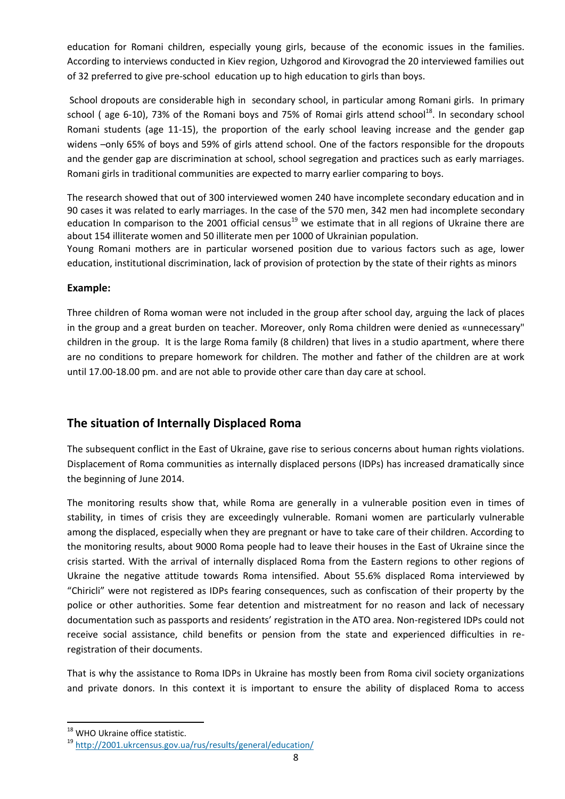education for Romani children, especially young girls, because of the economic issues in the families. According to interviews conducted in Kiev region, Uzhgorod and Kirovograd the 20 interviewed families out of 32 preferred to give pre-school education up to high education to girls than boys.

School dropouts are considerable high in secondary school, in particular among Romani girls. In primary school (age 6-10), 73% of the Romani boys and 75% of Romai girls attend school<sup>18</sup>. In secondary school Romani students (age 11-15), the proportion of the early school leaving increase and the gender gap widens –only 65% of boys and 59% of girls attend school. One of the factors responsible for the dropouts and the gender gap are discrimination at school, school segregation and practices such as early marriages. Romani girls in traditional communities are expected to marry earlier comparing to boys.

The research showed that out of 300 interviewed women 240 have incomplete secondary education and in 90 cases it was related to early marriages. In the case of the 570 men, 342 men had incomplete secondary education In comparison to the 2001 official census<sup>19</sup> we estimate that in all regions of Ukraine there are about 154 illiterate women and 50 illiterate men per 1000 of Ukrainian population.

Young Romani mothers are in particular worsened position due to various factors such as age, lower education, institutional discrimination, lack of provision of protection by the state of their rights as minors

### **Example:**

Three children of Roma woman were not included in the group after school day, arguing the lack of places in the group and a great burden on teacher. Moreover, only Roma children were denied as «unnecessary" children in the group. It is the large Roma family (8 children) that lives in a studio apartment, where there are no conditions to prepare homework for children. The mother and father of the children are at work until 17.00-18.00 pm. and are not able to provide other care than day care at school.

## **The situation of Internally Displaced Roma**

The subsequent conflict in the East of Ukraine, gave rise to serious concerns about human rights violations. Displacement of Roma communities as internally displaced persons (IDPs) has increased dramatically since the beginning of June 2014.

The monitoring results show that, while Roma are generally in a vulnerable position even in times of stability, in times of crisis they are exceedingly vulnerable. Romani women are particularly vulnerable among the displaced, especially when they are pregnant or have to take care of their children. According to the monitoring results, about 9000 Roma people had to leave their houses in the East of Ukraine since the crisis started. With the arrival of internally displaced Roma from the Eastern regions to other regions of Ukraine the negative attitude towards Roma intensified. About 55.6% displaced Roma interviewed by "Chiricli" were not registered as IDPs fearing consequences, such as confiscation of their property by the police or other authorities. Some fear detention and mistreatment for no reason and lack of necessary documentation such as passports and residents' registration in the ATO area. Non-registered IDPs could not receive social assistance, child benefits or pension from the state and experienced difficulties in reregistration of their documents.

That is why the assistance to Roma IDPs in Ukraine has mostly been from Roma civil society organizations and private donors. In this context it is important to ensure the ability of displaced Roma to access

 $\overline{a}$ 

<sup>&</sup>lt;sup>18</sup> WHO Ukraine office statistic.

<sup>19</sup> <http://2001.ukrcensus.gov.ua/rus/results/general/education/>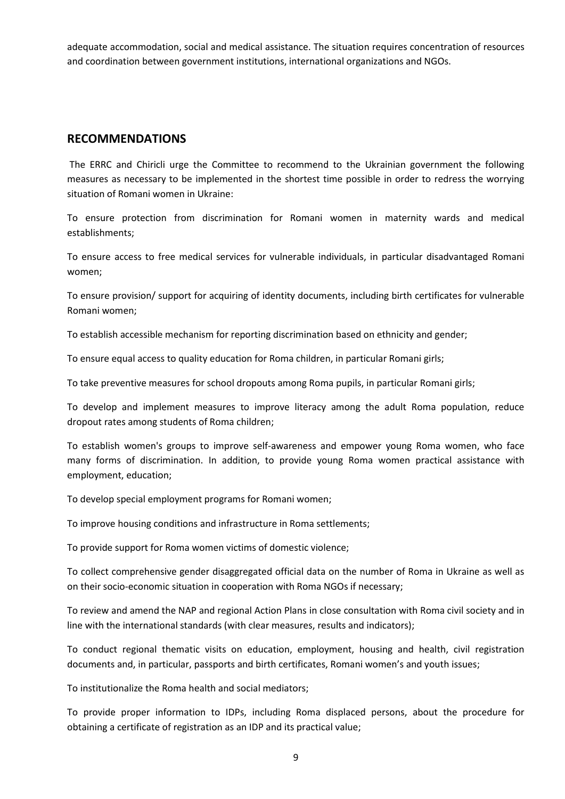adequate accommodation, social and medical assistance. The situation requires concentration of resources and coordination between government institutions, international organizations and NGOs.

### **RECOMMENDATIONS**

The ERRC and Chiricli urge the Committee to recommend to the Ukrainian government the following measures as necessary to be implemented in the shortest time possible in order to redress the worrying situation of Romani women in Ukraine:

To ensure protection from discrimination for Romani women in maternity wards and medical establishments;

To ensure access to free medical services for vulnerable individuals, in particular disadvantaged Romani women;

To ensure provision/ support for acquiring of identity documents, including birth certificates for vulnerable Romani women;

To establish accessible mechanism for reporting discrimination based on ethnicity and gender;

To ensure equal access to quality education for Roma children, in particular Romani girls;

To take preventive measures for school dropouts among Roma pupils, in particular Romani girls;

To develop and implement measures to improve literacy among the adult Roma population, reduce dropout rates among students of Roma children;

To establish women's groups to improve self-awareness and empower young Roma women, who face many forms of discrimination. In addition, to provide young Roma women practical assistance with employment, education;

To develop special employment programs for Romani women;

To improve housing conditions and infrastructure in Roma settlements;

To provide support for Roma women victims of domestic violence;

To collect comprehensive gender disaggregated official data on the number of Roma in Ukraine as well as on their socio-economic situation in cooperation with Roma NGOs if necessary;

To review and amend the NAP and regional Action Plans in close consultation with Roma civil society and in line with the international standards (with clear measures, results and indicators);

To conduct regional thematic visits on education, employment, housing and health, civil registration documents and, in particular, passports and birth certificates, Romani women's and youth issues;

To institutionalize the Roma health and social mediators;

To provide proper information to IDPs, including Roma displaced persons, about the procedure for obtaining a certificate of registration as an IDP and its practical value;